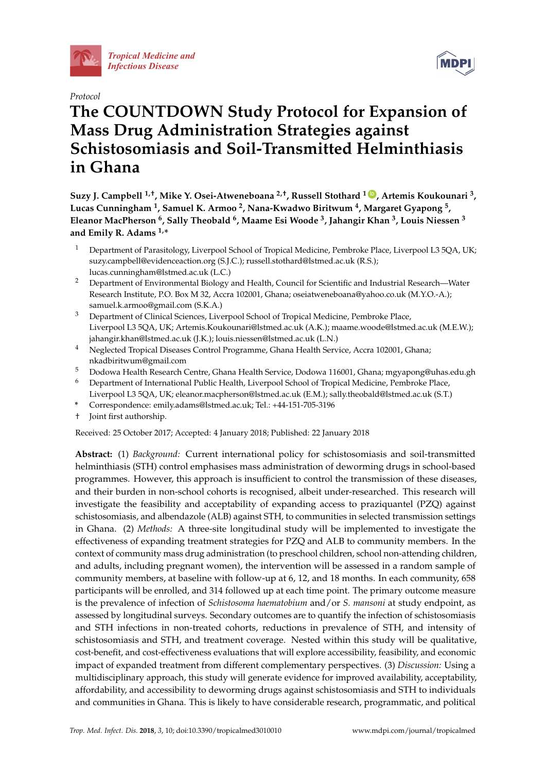

*[Tropical Medicine and](http://www.mdpi.com/journal/tropicalmed)  Infectious Disease*





# **The COUNTDOWN Study Protocol for Expansion of Mass Drug Administration Strategies against Schistosomiasis and Soil-Transmitted Helminthiasis in Ghana**

**Suzy J. Campbell 1,†, Mike Y. Osei-Atweneboana 2,†, Russell Stothard <sup>1</sup> [ID](https://orcid.org/0000-0002-9370-3420) , Artemis Koukounari <sup>3</sup> , Lucas Cunningham <sup>1</sup> , Samuel K. Armoo <sup>2</sup> , Nana-Kwadwo Biritwum <sup>4</sup> , Margaret Gyapong <sup>5</sup> , Eleanor MacPherson <sup>6</sup> , Sally Theobald <sup>6</sup> , Maame Esi Woode <sup>3</sup> , Jahangir Khan <sup>3</sup> , Louis Niessen <sup>3</sup> and Emily R. Adams 1,\***

- <sup>1</sup> Department of Parasitology, Liverpool School of Tropical Medicine, Pembroke Place, Liverpool L3 5QA, UK; suzy.campbell@evidenceaction.org (S.J.C.); russell.stothard@lstmed.ac.uk (R.S.); lucas.cunningham@lstmed.ac.uk (L.C.)
- <sup>2</sup> Department of Environmental Biology and Health, Council for Scientific and Industrial Research—Water Research Institute, P.O. Box M 32, Accra 102001, Ghana; oseiatweneboana@yahoo.co.uk (M.Y.O.-A.); samuel.k.armoo@gmail.com (S.K.A.)
- <sup>3</sup> Department of Clinical Sciences, Liverpool School of Tropical Medicine, Pembroke Place, Liverpool L3 5QA, UK; Artemis.Koukounari@lstmed.ac.uk (A.K.); maame.woode@lstmed.ac.uk (M.E.W.); jahangir.khan@lstmed.ac.uk (J.K.); louis.niessen@lstmed.ac.uk (L.N.)
- <sup>4</sup> Neglected Tropical Diseases Control Programme, Ghana Health Service, Accra 102001, Ghana; nkadbiritwum@gmail.com
- <sup>5</sup> Dodowa Health Research Centre, Ghana Health Service, Dodowa 116001, Ghana; mgyapong@uhas.edu.gh
- <sup>6</sup> Department of International Public Health, Liverpool School of Tropical Medicine, Pembroke Place, Liverpool L3 5QA, UK; eleanor.macpherson@lstmed.ac.uk (E.M.); sally.theobald@lstmed.ac.uk (S.T.)
- **\*** Correspondence: emily.adams@lstmed.ac.uk; Tel.: +44-151-705-3196
- † Joint first authorship.

Received: 25 October 2017; Accepted: 4 January 2018; Published: 22 January 2018

**Abstract:** (1) *Background:* Current international policy for schistosomiasis and soil-transmitted helminthiasis (STH) control emphasises mass administration of deworming drugs in school-based programmes. However, this approach is insufficient to control the transmission of these diseases, and their burden in non-school cohorts is recognised, albeit under-researched. This research will investigate the feasibility and acceptability of expanding access to praziquantel (PZQ) against schistosomiasis, and albendazole (ALB) against STH, to communities in selected transmission settings in Ghana. (2) *Methods:* A three-site longitudinal study will be implemented to investigate the effectiveness of expanding treatment strategies for PZQ and ALB to community members. In the context of community mass drug administration (to preschool children, school non-attending children, and adults, including pregnant women), the intervention will be assessed in a random sample of community members, at baseline with follow-up at 6, 12, and 18 months. In each community, 658 participants will be enrolled, and 314 followed up at each time point. The primary outcome measure is the prevalence of infection of *Schistosoma haematobium* and/or *S. mansoni* at study endpoint, as assessed by longitudinal surveys. Secondary outcomes are to quantify the infection of schistosomiasis and STH infections in non-treated cohorts, reductions in prevalence of STH, and intensity of schistosomiasis and STH, and treatment coverage. Nested within this study will be qualitative, cost-benefit, and cost-effectiveness evaluations that will explore accessibility, feasibility, and economic impact of expanded treatment from different complementary perspectives. (3) *Discussion:* Using a multidisciplinary approach, this study will generate evidence for improved availability, acceptability, affordability, and accessibility to deworming drugs against schistosomiasis and STH to individuals and communities in Ghana. This is likely to have considerable research, programmatic, and political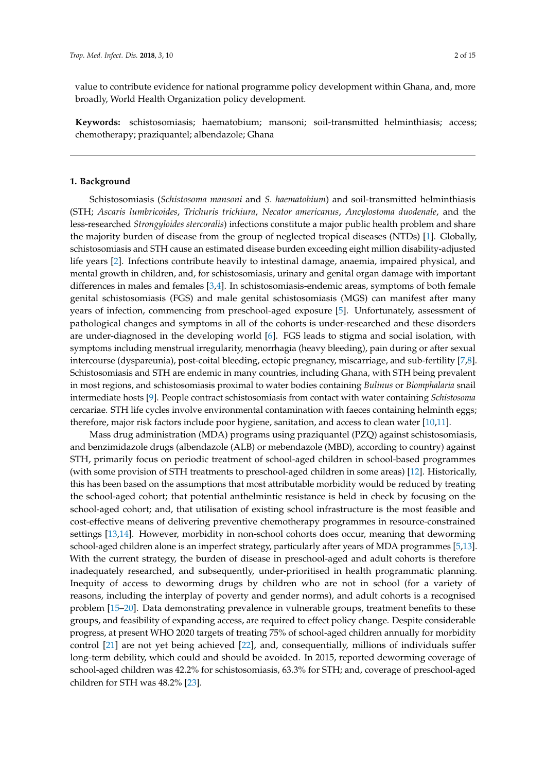value to contribute evidence for national programme policy development within Ghana, and, more broadly, World Health Organization policy development.

**Keywords:** schistosomiasis; haematobium; mansoni; soil-transmitted helminthiasis; access; chemotherapy; praziquantel; albendazole; Ghana

#### **1. Background**

Schistosomiasis (*Schistosoma mansoni* and *S. haematobium*) and soil-transmitted helminthiasis (STH; *Ascaris lumbricoides*, *Trichuris trichiura*, *Necator americanus*, *Ancylostoma duodenale*, and the less-researched *Strongyloides stercoralis*) infections constitute a major public health problem and share the majority burden of disease from the group of neglected tropical diseases (NTDs) [\[1\]](#page-12-0). Globally, schistosomiasis and STH cause an estimated disease burden exceeding eight million disability-adjusted life years [\[2\]](#page-12-1). Infections contribute heavily to intestinal damage, anaemia, impaired physical, and mental growth in children, and, for schistosomiasis, urinary and genital organ damage with important differences in males and females  $[3,4]$  $[3,4]$ . In schistosomiasis-endemic areas, symptoms of both female genital schistosomiasis (FGS) and male genital schistosomiasis (MGS) can manifest after many years of infection, commencing from preschool-aged exposure [\[5\]](#page-12-4). Unfortunately, assessment of pathological changes and symptoms in all of the cohorts is under-researched and these disorders are under-diagnosed in the developing world [\[6\]](#page-12-5). FGS leads to stigma and social isolation, with symptoms including menstrual irregularity, menorrhagia (heavy bleeding), pain during or after sexual intercourse (dyspareunia), post-coital bleeding, ectopic pregnancy, miscarriage, and sub-fertility [\[7,](#page-12-6)[8\]](#page-13-0). Schistosomiasis and STH are endemic in many countries, including Ghana, with STH being prevalent in most regions, and schistosomiasis proximal to water bodies containing *Bulinus* or *Biomphalaria* snail intermediate hosts [\[9\]](#page-13-1). People contract schistosomiasis from contact with water containing *Schistosoma* cercariae. STH life cycles involve environmental contamination with faeces containing helminth eggs; therefore, major risk factors include poor hygiene, sanitation, and access to clean water [\[10](#page-13-2)[,11\]](#page-13-3).

Mass drug administration (MDA) programs using praziquantel (PZQ) against schistosomiasis, and benzimidazole drugs (albendazole (ALB) or mebendazole (MBD), according to country) against STH, primarily focus on periodic treatment of school-aged children in school-based programmes (with some provision of STH treatments to preschool-aged children in some areas) [\[12\]](#page-13-4). Historically, this has been based on the assumptions that most attributable morbidity would be reduced by treating the school-aged cohort; that potential anthelmintic resistance is held in check by focusing on the school-aged cohort; and, that utilisation of existing school infrastructure is the most feasible and cost-effective means of delivering preventive chemotherapy programmes in resource-constrained settings [\[13](#page-13-5)[,14\]](#page-13-6). However, morbidity in non-school cohorts does occur, meaning that deworming school-aged children alone is an imperfect strategy, particularly after years of MDA programmes [\[5](#page-12-4)[,13\]](#page-13-5). With the current strategy, the burden of disease in preschool-aged and adult cohorts is therefore inadequately researched, and subsequently, under-prioritised in health programmatic planning. Inequity of access to deworming drugs by children who are not in school (for a variety of reasons, including the interplay of poverty and gender norms), and adult cohorts is a recognised problem [\[15](#page-13-7)[–20\]](#page-13-8). Data demonstrating prevalence in vulnerable groups, treatment benefits to these groups, and feasibility of expanding access, are required to effect policy change. Despite considerable progress, at present WHO 2020 targets of treating 75% of school-aged children annually for morbidity control [\[21\]](#page-13-9) are not yet being achieved [\[22\]](#page-13-10), and, consequentially, millions of individuals suffer long-term debility, which could and should be avoided. In 2015, reported deworming coverage of school-aged children was 42.2% for schistosomiasis, 63.3% for STH; and, coverage of preschool-aged children for STH was 48.2% [\[23\]](#page-13-11).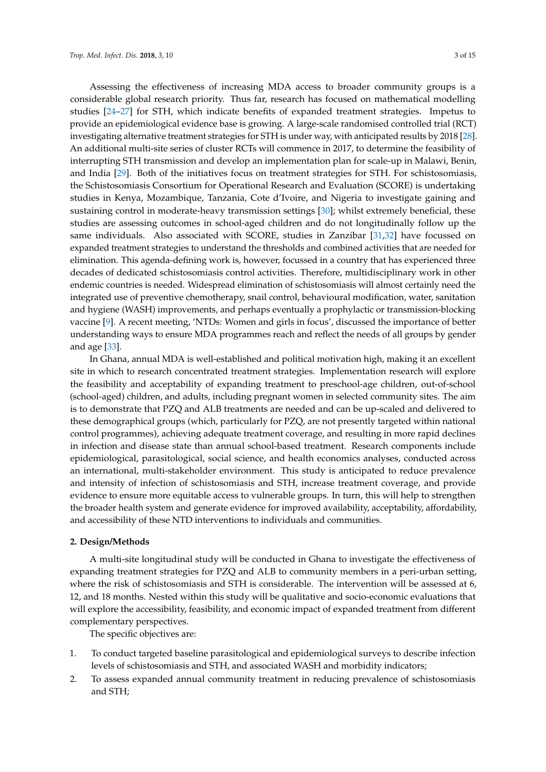Assessing the effectiveness of increasing MDA access to broader community groups is a considerable global research priority. Thus far, research has focused on mathematical modelling studies [\[24](#page-13-12)[–27\]](#page-13-13) for STH, which indicate benefits of expanded treatment strategies. Impetus to provide an epidemiological evidence base is growing. A large-scale randomised controlled trial (RCT) investigating alternative treatment strategies for STH is under way, with anticipated results by 2018 [\[28\]](#page-13-14). An additional multi-site series of cluster RCTs will commence in 2017, to determine the feasibility of interrupting STH transmission and develop an implementation plan for scale-up in Malawi, Benin, and India [\[29\]](#page-14-0). Both of the initiatives focus on treatment strategies for STH. For schistosomiasis, the Schistosomiasis Consortium for Operational Research and Evaluation (SCORE) is undertaking studies in Kenya, Mozambique, Tanzania, Cote d'Ivoire, and Nigeria to investigate gaining and sustaining control in moderate-heavy transmission settings [\[30\]](#page-14-1); whilst extremely beneficial, these studies are assessing outcomes in school-aged children and do not longitudinally follow up the same individuals. Also associated with SCORE, studies in Zanzibar [\[31,](#page-14-2)[32\]](#page-14-3) have focussed on expanded treatment strategies to understand the thresholds and combined activities that are needed for elimination. This agenda-defining work is, however, focussed in a country that has experienced three decades of dedicated schistosomiasis control activities. Therefore, multidisciplinary work in other endemic countries is needed. Widespread elimination of schistosomiasis will almost certainly need the integrated use of preventive chemotherapy, snail control, behavioural modification, water, sanitation and hygiene (WASH) improvements, and perhaps eventually a prophylactic or transmission-blocking vaccine [\[9\]](#page-13-1). A recent meeting, 'NTDs: Women and girls in focus', discussed the importance of better understanding ways to ensure MDA programmes reach and reflect the needs of all groups by gender and age [\[33\]](#page-14-4).

In Ghana, annual MDA is well-established and political motivation high, making it an excellent site in which to research concentrated treatment strategies. Implementation research will explore the feasibility and acceptability of expanding treatment to preschool-age children, out-of-school (school-aged) children, and adults, including pregnant women in selected community sites. The aim is to demonstrate that PZQ and ALB treatments are needed and can be up-scaled and delivered to these demographical groups (which, particularly for PZQ, are not presently targeted within national control programmes), achieving adequate treatment coverage, and resulting in more rapid declines in infection and disease state than annual school-based treatment. Research components include epidemiological, parasitological, social science, and health economics analyses, conducted across an international, multi-stakeholder environment. This study is anticipated to reduce prevalence and intensity of infection of schistosomiasis and STH, increase treatment coverage, and provide evidence to ensure more equitable access to vulnerable groups. In turn, this will help to strengthen the broader health system and generate evidence for improved availability, acceptability, affordability, and accessibility of these NTD interventions to individuals and communities.

#### **2. Design/Methods**

A multi-site longitudinal study will be conducted in Ghana to investigate the effectiveness of expanding treatment strategies for PZQ and ALB to community members in a peri-urban setting, where the risk of schistosomiasis and STH is considerable. The intervention will be assessed at 6, 12, and 18 months. Nested within this study will be qualitative and socio-economic evaluations that will explore the accessibility, feasibility, and economic impact of expanded treatment from different complementary perspectives.

The specific objectives are:

- 1. To conduct targeted baseline parasitological and epidemiological surveys to describe infection levels of schistosomiasis and STH, and associated WASH and morbidity indicators;
- 2. To assess expanded annual community treatment in reducing prevalence of schistosomiasis and STH;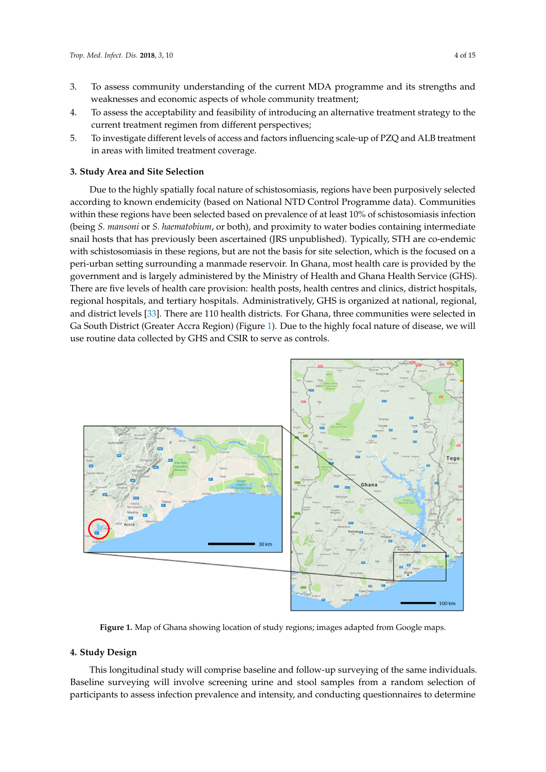- 3. To assess community understanding of the current MDA programme and its strengths and weaknesses and economic aspects of whole community treatment;
- 4. To assess the acceptability and feasibility of introducing an alternative treatment strategy to the current treatment regimen from different perspectives;
- 5. To investigate different levels of access and factors influencing scale-up of PZQ and ALB treatment in areas with limited treatment coverage.

#### **3. Study Area and Site Selection**  $\mathcal{L}_{\mathcal{D}}$  spatially focal nature of schistosomiasis, regions have been purposed purposed been purposed between purpositions  $\mathcal{L}_{\mathcal{D}}$

Due to the highly spatially focal nature of schistosomiasis, regions have been purposively selected according to known endemicity (based on National NTD Control Programme data). Communities within these regions have been selected based on prevalence of at least 10% of schistosomiasis infection (being *S. mansoni* or *S. haematobium*, or both), and proximity to water bodies containing intermediate snail hosts that has previously been ascertained (JRS unpublished). Typically, STH are co-endemic with schistosomiasis in these regions, but are not the basis for site selection, which is the focused on a peri-urban setting surrounding a manmade reservoir. In Ghana, most health care is provided by the government and is largely administered by the Ministry of Health and Ghana Health Service (GHS). There are five levels of health care provision: health posts, health centres and clinics, district hospitals, regional hospitals, and tertiary hospitals. Administratively, GHS is organized at national, regional, and district levels  $[33]$ . There are 110 health districts. For Ghana, three communities were selected in Ga South District (Greater Accra Region) (Fig[ure](#page-3-0) 1). Due to the highly focal nature of disease, we will use routine data collected by GHS and CSIR to serve as controls.

<span id="page-3-0"></span>

**Figure 1.** Map of Ghana showing location of study regions; images adapted from Google maps. **Figure 1.** Map of Ghana showing location of study regions; images adapted from Google maps.

# **4. Study Design 4. Study Design**

This longitudinal study will comprise baseline and follow-up surveying of the same This longitudinal study will comprise baseline and follow-up surveying of the same individuals. Baseline surveying will involve screening urine and stool samples from a random selection of participants to assess infection prevalence and intensity, and conducting questionnaires to determine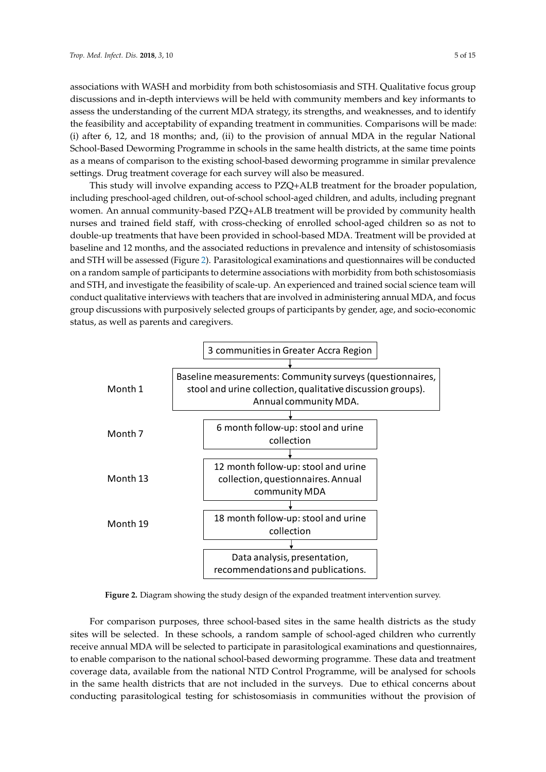associations with WASH and morbidity from both schistosomiasis and STH. Qualitative focus group discussions and in-depth interviews will be held with community members and key informants to assess the understanding of the current MDA strategy, its strengths, and weaknesses, and to identify the feasibility and acceptability of expanding treatment in communities. Comparisons will be made:  $(i)$  after 6, 12, and 18 months; and,  $(ii)$  to the provision of annual MDA in the regular National School-Based Deworming Programme in schools in the same health districts, at the same time points as a means of comparison to the existing school-based deworming programme in similar prevalence settings. Drug treatment coverage for each survey will also be measured.

This study will involve expanding access to PZQ+ALB treatment for the broader population, This study will involve expanding access to PZQ+ALB treatment for the broader population, including preschool-aged children, out-of-school school-aged children, and adults, including pregnant including preschool-aged children, out-of-school school-aged children, and adults, including women. An annual community-based PZQ+ALB treatment will be provided by community health nurses and trained field staff, with cross-checking of enrolled school-aged children so as not to double-up treatments that have been provided in school-based MDA. Treatment will be provided at baseline and 12 months, and the associated reductions in prevalence and intensity of schistosomiasis and STH will be [a](#page-4-0)ssessed (Figure 2). Parasitological examinations and questionnaires will be conducted on a random sample of participants to determine associations with morbidity from both schistosomiasis and STH, and investigate the feasibility of scale-up. An experienced and trained social science team will conduct qualitative interviews with teachers that are involved in administering annual MDA, and focus group discussions with purposively selected groups of participants by gender, age, and socio-economic status, as well as parents and caregivers.

<span id="page-4-0"></span>

**Figure 2.** Diagram showing the study design of the expanded treatment intervention survey. **Figure 2.** Diagram showing the study design of the expanded treatment intervention survey.

For comparison purposes, three school-based sites in the same health districts as the study sites will be selected. In these schools, a random sample of school-aged children who currently receive annual MDA will be selected to participate in parasitological examinations and questionnaires, enable comparison to the national school-based deworming programme. These data and treatment to enable comparison to the national school-based deworming programme. These data and treatment coverage data, available from the national NTD Control Programme, will be analysed for schools in the same health districts that are not included in the surveys. Due to ethical concerns about conducting parasitological testing for schistosomiasis in communities without the provision of conducting parasitological testing for schistosomiasis in communities without the provision of $\frac{1}{\sqrt{1}}$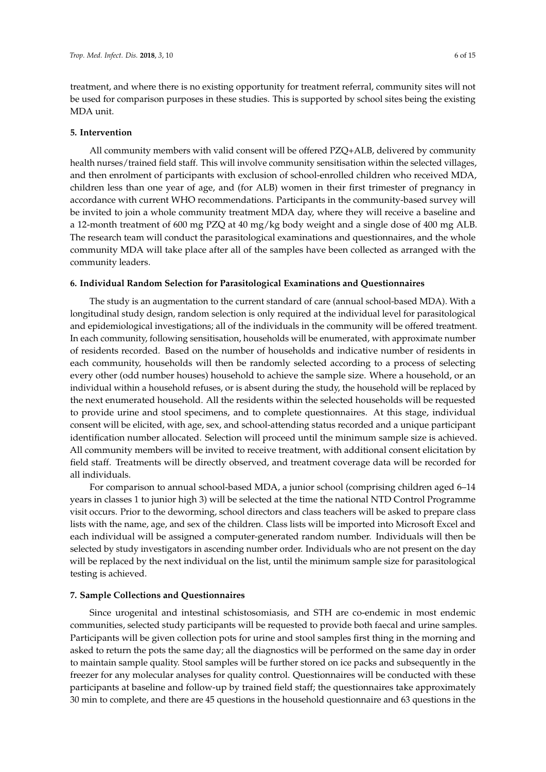treatment, and where there is no existing opportunity for treatment referral, community sites will not be used for comparison purposes in these studies. This is supported by school sites being the existing MDA unit.

## **5. Intervention**

All community members with valid consent will be offered PZQ+ALB, delivered by community health nurses/trained field staff. This will involve community sensitisation within the selected villages, and then enrolment of participants with exclusion of school-enrolled children who received MDA, children less than one year of age, and (for ALB) women in their first trimester of pregnancy in accordance with current WHO recommendations. Participants in the community-based survey will be invited to join a whole community treatment MDA day, where they will receive a baseline and a 12-month treatment of 600 mg PZQ at 40 mg/kg body weight and a single dose of 400 mg ALB. The research team will conduct the parasitological examinations and questionnaires, and the whole community MDA will take place after all of the samples have been collected as arranged with the community leaders.

#### **6. Individual Random Selection for Parasitological Examinations and Questionnaires**

The study is an augmentation to the current standard of care (annual school-based MDA). With a longitudinal study design, random selection is only required at the individual level for parasitological and epidemiological investigations; all of the individuals in the community will be offered treatment. In each community, following sensitisation, households will be enumerated, with approximate number of residents recorded. Based on the number of households and indicative number of residents in each community, households will then be randomly selected according to a process of selecting every other (odd number houses) household to achieve the sample size. Where a household, or an individual within a household refuses, or is absent during the study, the household will be replaced by the next enumerated household. All the residents within the selected households will be requested to provide urine and stool specimens, and to complete questionnaires. At this stage, individual consent will be elicited, with age, sex, and school-attending status recorded and a unique participant identification number allocated. Selection will proceed until the minimum sample size is achieved. All community members will be invited to receive treatment, with additional consent elicitation by field staff. Treatments will be directly observed, and treatment coverage data will be recorded for all individuals.

For comparison to annual school-based MDA, a junior school (comprising children aged 6–14 years in classes 1 to junior high 3) will be selected at the time the national NTD Control Programme visit occurs. Prior to the deworming, school directors and class teachers will be asked to prepare class lists with the name, age, and sex of the children. Class lists will be imported into Microsoft Excel and each individual will be assigned a computer-generated random number. Individuals will then be selected by study investigators in ascending number order. Individuals who are not present on the day will be replaced by the next individual on the list, until the minimum sample size for parasitological testing is achieved.

## **7. Sample Collections and Questionnaires**

Since urogenital and intestinal schistosomiasis, and STH are co-endemic in most endemic communities, selected study participants will be requested to provide both faecal and urine samples. Participants will be given collection pots for urine and stool samples first thing in the morning and asked to return the pots the same day; all the diagnostics will be performed on the same day in order to maintain sample quality. Stool samples will be further stored on ice packs and subsequently in the freezer for any molecular analyses for quality control. Questionnaires will be conducted with these participants at baseline and follow-up by trained field staff; the questionnaires take approximately 30 min to complete, and there are 45 questions in the household questionnaire and 63 questions in the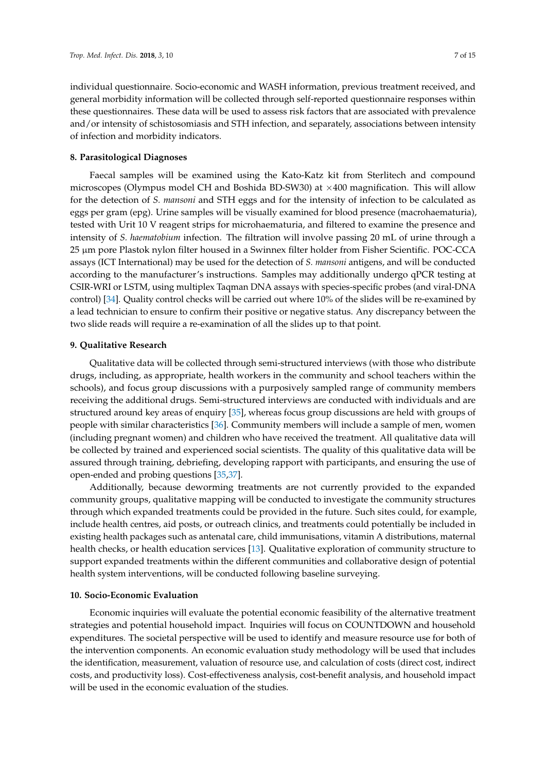individual questionnaire. Socio-economic and WASH information, previous treatment received, and general morbidity information will be collected through self-reported questionnaire responses within these questionnaires. These data will be used to assess risk factors that are associated with prevalence and/or intensity of schistosomiasis and STH infection, and separately, associations between intensity of infection and morbidity indicators.

# **8. Parasitological Diagnoses**

Faecal samples will be examined using the Kato-Katz kit from Sterlitech and compound microscopes (Olympus model CH and Boshida BD-SW30) at ×400 magnification. This will allow for the detection of *S. mansoni* and STH eggs and for the intensity of infection to be calculated as eggs per gram (epg). Urine samples will be visually examined for blood presence (macrohaematuria), tested with Urit 10 V reagent strips for microhaematuria, and filtered to examine the presence and intensity of *S. haematobium* infection. The filtration will involve passing 20 mL of urine through a 25 µm pore Plastok nylon filter housed in a Swinnex filter holder from Fisher Scientific. POC-CCA assays (ICT International) may be used for the detection of *S. mansoni* antigens, and will be conducted according to the manufacturer's instructions. Samples may additionally undergo qPCR testing at CSIR-WRI or LSTM, using multiplex Taqman DNA assays with species-specific probes (and viral-DNA control) [\[34\]](#page-14-5). Quality control checks will be carried out where 10% of the slides will be re-examined by a lead technician to ensure to confirm their positive or negative status. Any discrepancy between the two slide reads will require a re-examination of all the slides up to that point.

## **9. Qualitative Research**

Qualitative data will be collected through semi-structured interviews (with those who distribute drugs, including, as appropriate, health workers in the community and school teachers within the schools), and focus group discussions with a purposively sampled range of community members receiving the additional drugs. Semi-structured interviews are conducted with individuals and are structured around key areas of enquiry [\[35\]](#page-14-6), whereas focus group discussions are held with groups of people with similar characteristics [\[36\]](#page-14-7). Community members will include a sample of men, women (including pregnant women) and children who have received the treatment. All qualitative data will be collected by trained and experienced social scientists. The quality of this qualitative data will be assured through training, debriefing, developing rapport with participants, and ensuring the use of open-ended and probing questions [\[35,](#page-14-6)[37\]](#page-14-8).

Additionally, because deworming treatments are not currently provided to the expanded community groups, qualitative mapping will be conducted to investigate the community structures through which expanded treatments could be provided in the future. Such sites could, for example, include health centres, aid posts, or outreach clinics, and treatments could potentially be included in existing health packages such as antenatal care, child immunisations, vitamin A distributions, maternal health checks, or health education services [\[13\]](#page-13-5). Qualitative exploration of community structure to support expanded treatments within the different communities and collaborative design of potential health system interventions, will be conducted following baseline surveying.

# **10. Socio-Economic Evaluation**

Economic inquiries will evaluate the potential economic feasibility of the alternative treatment strategies and potential household impact. Inquiries will focus on COUNTDOWN and household expenditures. The societal perspective will be used to identify and measure resource use for both of the intervention components. An economic evaluation study methodology will be used that includes the identification, measurement, valuation of resource use, and calculation of costs (direct cost, indirect costs, and productivity loss). Cost-effectiveness analysis, cost-benefit analysis, and household impact will be used in the economic evaluation of the studies.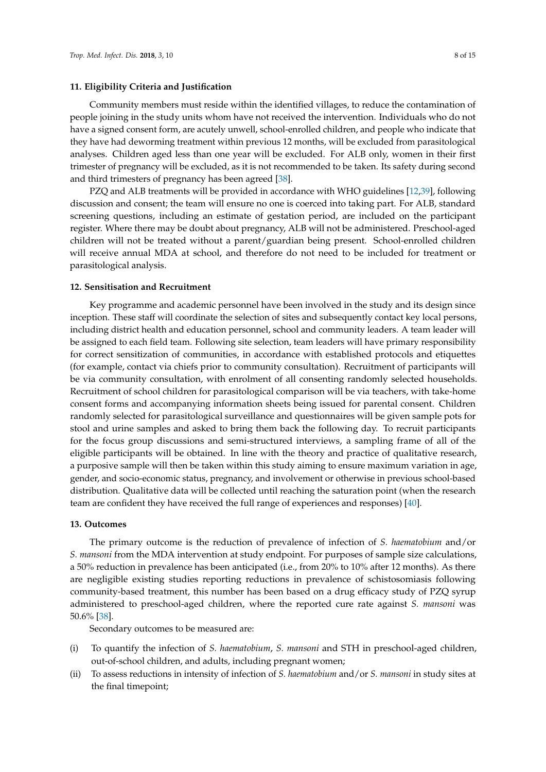## **11. Eligibility Criteria and Justification**

Community members must reside within the identified villages, to reduce the contamination of people joining in the study units whom have not received the intervention. Individuals who do not have a signed consent form, are acutely unwell, school-enrolled children, and people who indicate that they have had deworming treatment within previous 12 months, will be excluded from parasitological analyses. Children aged less than one year will be excluded. For ALB only, women in their first trimester of pregnancy will be excluded, as it is not recommended to be taken. Its safety during second and third trimesters of pregnancy has been agreed [\[38\]](#page-14-9).

PZQ and ALB treatments will be provided in accordance with WHO guidelines [\[12](#page-13-4)[,39\]](#page-14-10), following discussion and consent; the team will ensure no one is coerced into taking part. For ALB, standard screening questions, including an estimate of gestation period, are included on the participant register. Where there may be doubt about pregnancy, ALB will not be administered. Preschool-aged children will not be treated without a parent/guardian being present. School-enrolled children will receive annual MDA at school, and therefore do not need to be included for treatment or parasitological analysis.

#### **12. Sensitisation and Recruitment**

Key programme and academic personnel have been involved in the study and its design since inception. These staff will coordinate the selection of sites and subsequently contact key local persons, including district health and education personnel, school and community leaders. A team leader will be assigned to each field team. Following site selection, team leaders will have primary responsibility for correct sensitization of communities, in accordance with established protocols and etiquettes (for example, contact via chiefs prior to community consultation). Recruitment of participants will be via community consultation, with enrolment of all consenting randomly selected households. Recruitment of school children for parasitological comparison will be via teachers, with take-home consent forms and accompanying information sheets being issued for parental consent. Children randomly selected for parasitological surveillance and questionnaires will be given sample pots for stool and urine samples and asked to bring them back the following day. To recruit participants for the focus group discussions and semi-structured interviews, a sampling frame of all of the eligible participants will be obtained. In line with the theory and practice of qualitative research, a purposive sample will then be taken within this study aiming to ensure maximum variation in age, gender, and socio-economic status, pregnancy, and involvement or otherwise in previous school-based distribution. Qualitative data will be collected until reaching the saturation point (when the research team are confident they have received the full range of experiences and responses) [\[40\]](#page-14-11).

#### **13. Outcomes**

The primary outcome is the reduction of prevalence of infection of *S. haematobium* and/or *S. mansoni* from the MDA intervention at study endpoint. For purposes of sample size calculations, a 50% reduction in prevalence has been anticipated (i.e., from 20% to 10% after 12 months). As there are negligible existing studies reporting reductions in prevalence of schistosomiasis following community-based treatment, this number has been based on a drug efficacy study of PZQ syrup administered to preschool-aged children, where the reported cure rate against *S. mansoni* was 50.6% [\[38\]](#page-14-9).

Secondary outcomes to be measured are:

- (i) To quantify the infection of *S. haematobium*, *S. mansoni* and STH in preschool-aged children, out-of-school children, and adults, including pregnant women;
- (ii) To assess reductions in intensity of infection of *S. haematobium* and/or *S. mansoni* in study sites at the final timepoint;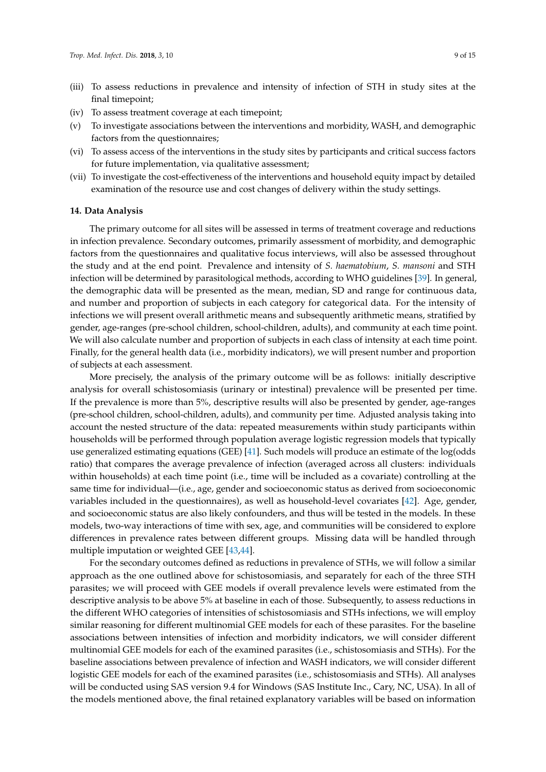- (iii) To assess reductions in prevalence and intensity of infection of STH in study sites at the final timepoint;
- (iv) To assess treatment coverage at each timepoint;
- (v) To investigate associations between the interventions and morbidity, WASH, and demographic factors from the questionnaires;
- (vi) To assess access of the interventions in the study sites by participants and critical success factors for future implementation, via qualitative assessment;
- (vii) To investigate the cost-effectiveness of the interventions and household equity impact by detailed examination of the resource use and cost changes of delivery within the study settings.

#### **14. Data Analysis**

The primary outcome for all sites will be assessed in terms of treatment coverage and reductions in infection prevalence. Secondary outcomes, primarily assessment of morbidity, and demographic factors from the questionnaires and qualitative focus interviews, will also be assessed throughout the study and at the end point. Prevalence and intensity of *S. haematobium*, *S. mansoni* and STH infection will be determined by parasitological methods, according to WHO guidelines [\[39\]](#page-14-10). In general, the demographic data will be presented as the mean, median, SD and range for continuous data, and number and proportion of subjects in each category for categorical data. For the intensity of infections we will present overall arithmetic means and subsequently arithmetic means, stratified by gender, age-ranges (pre-school children, school-children, adults), and community at each time point. We will also calculate number and proportion of subjects in each class of intensity at each time point. Finally, for the general health data (i.e., morbidity indicators), we will present number and proportion of subjects at each assessment.

More precisely, the analysis of the primary outcome will be as follows: initially descriptive analysis for overall schistosomiasis (urinary or intestinal) prevalence will be presented per time. If the prevalence is more than 5%, descriptive results will also be presented by gender, age-ranges (pre-school children, school-children, adults), and community per time. Adjusted analysis taking into account the nested structure of the data: repeated measurements within study participants within households will be performed through population average logistic regression models that typically use generalized estimating equations (GEE) [\[41\]](#page-14-12). Such models will produce an estimate of the log(odds ratio) that compares the average prevalence of infection (averaged across all clusters: individuals within households) at each time point (i.e., time will be included as a covariate) controlling at the same time for individual—(i.e., age, gender and socioeconomic status as derived from socioeconomic variables included in the questionnaires), as well as household-level covariates [\[42\]](#page-14-13). Age, gender, and socioeconomic status are also likely confounders, and thus will be tested in the models. In these models, two-way interactions of time with sex, age, and communities will be considered to explore differences in prevalence rates between different groups. Missing data will be handled through multiple imputation or weighted GEE [\[43,](#page-14-14)[44\]](#page-14-15).

For the secondary outcomes defined as reductions in prevalence of STHs, we will follow a similar approach as the one outlined above for schistosomiasis, and separately for each of the three STH parasites; we will proceed with GEE models if overall prevalence levels were estimated from the descriptive analysis to be above 5% at baseline in each of those. Subsequently, to assess reductions in the different WHO categories of intensities of schistosomiasis and STHs infections, we will employ similar reasoning for different multinomial GEE models for each of these parasites. For the baseline associations between intensities of infection and morbidity indicators, we will consider different multinomial GEE models for each of the examined parasites (i.e., schistosomiasis and STHs). For the baseline associations between prevalence of infection and WASH indicators, we will consider different logistic GEE models for each of the examined parasites (i.e., schistosomiasis and STHs). All analyses will be conducted using SAS version 9.4 for Windows (SAS Institute Inc., Cary, NC, USA). In all of the models mentioned above, the final retained explanatory variables will be based on information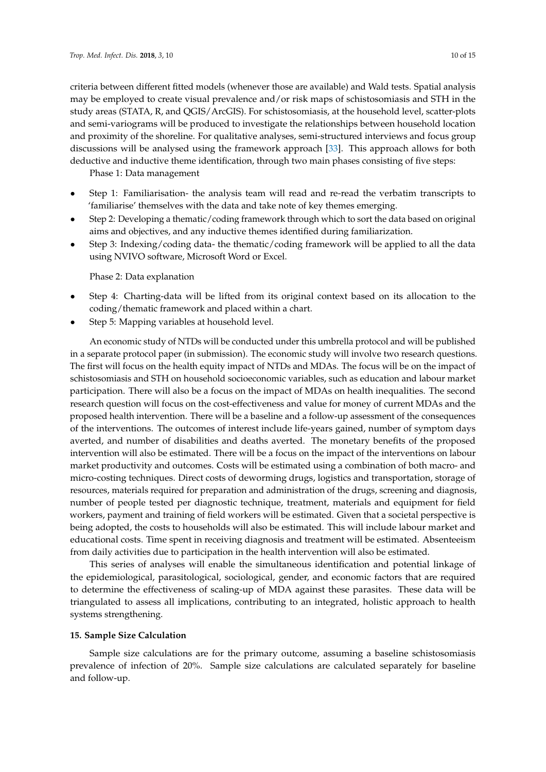criteria between different fitted models (whenever those are available) and Wald tests. Spatial analysis may be employed to create visual prevalence and/or risk maps of schistosomiasis and STH in the study areas (STATA, R, and QGIS/ArcGIS). For schistosomiasis, at the household level, scatter-plots and semi-variograms will be produced to investigate the relationships between household location and proximity of the shoreline. For qualitative analyses, semi-structured interviews and focus group discussions will be analysed using the framework approach [\[33\]](#page-14-4). This approach allows for both deductive and inductive theme identification, through two main phases consisting of five steps:

Phase 1: Data management

- Step 1: Familiarisation- the analysis team will read and re-read the verbatim transcripts to 'familiarise' themselves with the data and take note of key themes emerging.
- Step 2: Developing a thematic/coding framework through which to sort the data based on original aims and objectives, and any inductive themes identified during familiarization.
- Step 3: Indexing/coding data- the thematic/coding framework will be applied to all the data using NVIVO software, Microsoft Word or Excel.

Phase 2: Data explanation

- Step 4: Charting-data will be lifted from its original context based on its allocation to the coding/thematic framework and placed within a chart.
- Step 5: Mapping variables at household level.

An economic study of NTDs will be conducted under this umbrella protocol and will be published in a separate protocol paper (in submission). The economic study will involve two research questions. The first will focus on the health equity impact of NTDs and MDAs. The focus will be on the impact of schistosomiasis and STH on household socioeconomic variables, such as education and labour market participation. There will also be a focus on the impact of MDAs on health inequalities. The second research question will focus on the cost-effectiveness and value for money of current MDAs and the proposed health intervention. There will be a baseline and a follow-up assessment of the consequences of the interventions. The outcomes of interest include life-years gained, number of symptom days averted, and number of disabilities and deaths averted. The monetary benefits of the proposed intervention will also be estimated. There will be a focus on the impact of the interventions on labour market productivity and outcomes. Costs will be estimated using a combination of both macro- and micro-costing techniques. Direct costs of deworming drugs, logistics and transportation, storage of resources, materials required for preparation and administration of the drugs, screening and diagnosis, number of people tested per diagnostic technique, treatment, materials and equipment for field workers, payment and training of field workers will be estimated. Given that a societal perspective is being adopted, the costs to households will also be estimated. This will include labour market and educational costs. Time spent in receiving diagnosis and treatment will be estimated. Absenteeism from daily activities due to participation in the health intervention will also be estimated.

This series of analyses will enable the simultaneous identification and potential linkage of the epidemiological, parasitological, sociological, gender, and economic factors that are required to determine the effectiveness of scaling-up of MDA against these parasites. These data will be triangulated to assess all implications, contributing to an integrated, holistic approach to health systems strengthening.

## **15. Sample Size Calculation**

Sample size calculations are for the primary outcome, assuming a baseline schistosomiasis prevalence of infection of 20%. Sample size calculations are calculated separately for baseline and follow-up.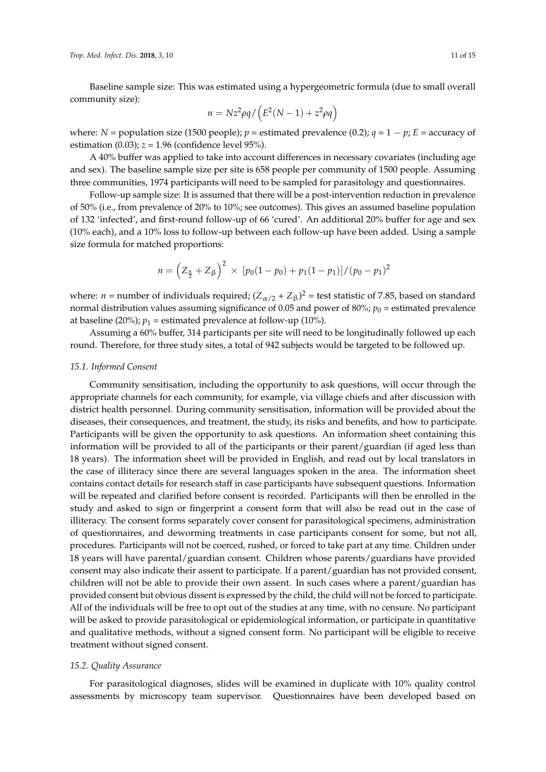Baseline sample size: This was estimated using a hypergeometric formula (due to small overall community size):

$$
n = Nz^2 \rho q / \left( E^2 (N - 1) + z^2 \rho q \right)
$$

where: *N* = population size (1500 people);  $p =$  estimated prevalence (0.2);  $q = 1 - p$ ;  $E =$  accuracy of estimation (0.03);  $z = 1.96$  (confidence level 95%).

A 40% buffer was applied to take into account differences in necessary covariates (including age and sex). The baseline sample size per site is 658 people per community of 1500 people. Assuming three communities, 1974 participants will need to be sampled for parasitology and questionnaires.

Follow-up sample size: It is assumed that there will be a post-intervention reduction in prevalence of 50% (i.e., from prevalence of 20% to 10%; see outcomes). This gives an assumed baseline population of 132 'infected', and first-round follow-up of 66 'cured'. An additional 20% buffer for age and sex (10% each), and a 10% loss to follow-up between each follow-up have been added. Using a sample size formula for matched proportions:

$$
n = \left(Z_{\frac{\alpha}{2}} + Z_{\beta}\right)^2 \times \left[p_0(1 - p_0) + p_1(1 - p_1)\right] / (p_0 - p_1)^2
$$

where: *n* = number of individuals required;  $(Z_{\alpha/2} + Z_{\beta})^2$  = test statistic of 7.85, based on standard normal distribution values assuming significance of 0.05 and power of 80%;  $p_0$  = estimated prevalence at baseline (20%);  $p_1$  = estimated prevalence at follow-up (10%).

Assuming a 60% buffer, 314 participants per site will need to be longitudinally followed up each round. Therefore, for three study sites, a total of 942 subjects would be targeted to be followed up.

#### *15.1. Informed Consent*

Community sensitisation, including the opportunity to ask questions, will occur through the appropriate channels for each community, for example, via village chiefs and after discussion with district health personnel. During community sensitisation, information will be provided about the diseases, their consequences, and treatment, the study, its risks and benefits, and how to participate. Participants will be given the opportunity to ask questions. An information sheet containing this information will be provided to all of the participants or their parent/guardian (if aged less than 18 years). The information sheet will be provided in English, and read out by local translators in the case of illiteracy since there are several languages spoken in the area. The information sheet contains contact details for research staff in case participants have subsequent questions. Information will be repeated and clarified before consent is recorded. Participants will then be enrolled in the study and asked to sign or fingerprint a consent form that will also be read out in the case of illiteracy. The consent forms separately cover consent for parasitological specimens, administration of questionnaires, and deworming treatments in case participants consent for some, but not all, procedures. Participants will not be coerced, rushed, or forced to take part at any time. Children under 18 years will have parental/guardian consent. Children whose parents/guardians have provided consent may also indicate their assent to participate. If a parent/guardian has not provided consent, children will not be able to provide their own assent. In such cases where a parent/guardian has provided consent but obvious dissent is expressed by the child, the child will not be forced to participate. All of the individuals will be free to opt out of the studies at any time, with no censure. No participant will be asked to provide parasitological or epidemiological information, or participate in quantitative and qualitative methods, without a signed consent form. No participant will be eligible to receive treatment without signed consent.

## *15.2. Quality Assurance*

For parasitological diagnoses, slides will be examined in duplicate with 10% quality control assessments by microscopy team supervisor. Questionnaires have been developed based on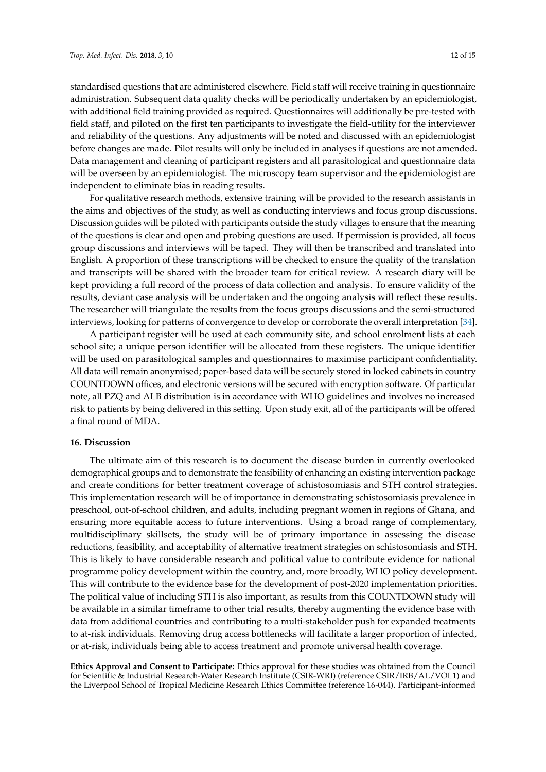standardised questions that are administered elsewhere. Field staff will receive training in questionnaire administration. Subsequent data quality checks will be periodically undertaken by an epidemiologist, with additional field training provided as required. Questionnaires will additionally be pre-tested with field staff, and piloted on the first ten participants to investigate the field-utility for the interviewer and reliability of the questions. Any adjustments will be noted and discussed with an epidemiologist before changes are made. Pilot results will only be included in analyses if questions are not amended. Data management and cleaning of participant registers and all parasitological and questionnaire data will be overseen by an epidemiologist. The microscopy team supervisor and the epidemiologist are independent to eliminate bias in reading results.

For qualitative research methods, extensive training will be provided to the research assistants in the aims and objectives of the study, as well as conducting interviews and focus group discussions. Discussion guides will be piloted with participants outside the study villages to ensure that the meaning of the questions is clear and open and probing questions are used. If permission is provided, all focus group discussions and interviews will be taped. They will then be transcribed and translated into English. A proportion of these transcriptions will be checked to ensure the quality of the translation and transcripts will be shared with the broader team for critical review. A research diary will be kept providing a full record of the process of data collection and analysis. To ensure validity of the results, deviant case analysis will be undertaken and the ongoing analysis will reflect these results. The researcher will triangulate the results from the focus groups discussions and the semi-structured interviews, looking for patterns of convergence to develop or corroborate the overall interpretation [\[34\]](#page-14-5).

A participant register will be used at each community site, and school enrolment lists at each school site; a unique person identifier will be allocated from these registers. The unique identifier will be used on parasitological samples and questionnaires to maximise participant confidentiality. All data will remain anonymised; paper-based data will be securely stored in locked cabinets in country COUNTDOWN offices, and electronic versions will be secured with encryption software. Of particular note, all PZQ and ALB distribution is in accordance with WHO guidelines and involves no increased risk to patients by being delivered in this setting. Upon study exit, all of the participants will be offered a final round of MDA.

### **16. Discussion**

The ultimate aim of this research is to document the disease burden in currently overlooked demographical groups and to demonstrate the feasibility of enhancing an existing intervention package and create conditions for better treatment coverage of schistosomiasis and STH control strategies. This implementation research will be of importance in demonstrating schistosomiasis prevalence in preschool, out-of-school children, and adults, including pregnant women in regions of Ghana, and ensuring more equitable access to future interventions. Using a broad range of complementary, multidisciplinary skillsets, the study will be of primary importance in assessing the disease reductions, feasibility, and acceptability of alternative treatment strategies on schistosomiasis and STH. This is likely to have considerable research and political value to contribute evidence for national programme policy development within the country, and, more broadly, WHO policy development. This will contribute to the evidence base for the development of post-2020 implementation priorities. The political value of including STH is also important, as results from this COUNTDOWN study will be available in a similar timeframe to other trial results, thereby augmenting the evidence base with data from additional countries and contributing to a multi-stakeholder push for expanded treatments to at-risk individuals. Removing drug access bottlenecks will facilitate a larger proportion of infected, or at-risk, individuals being able to access treatment and promote universal health coverage.

**Ethics Approval and Consent to Participate:** Ethics approval for these studies was obtained from the Council for Scientific & Industrial Research-Water Research Institute (CSIR-WRI) (reference CSIR/IRB/AL/VOL1) and the Liverpool School of Tropical Medicine Research Ethics Committee (reference 16-044). Participant-informed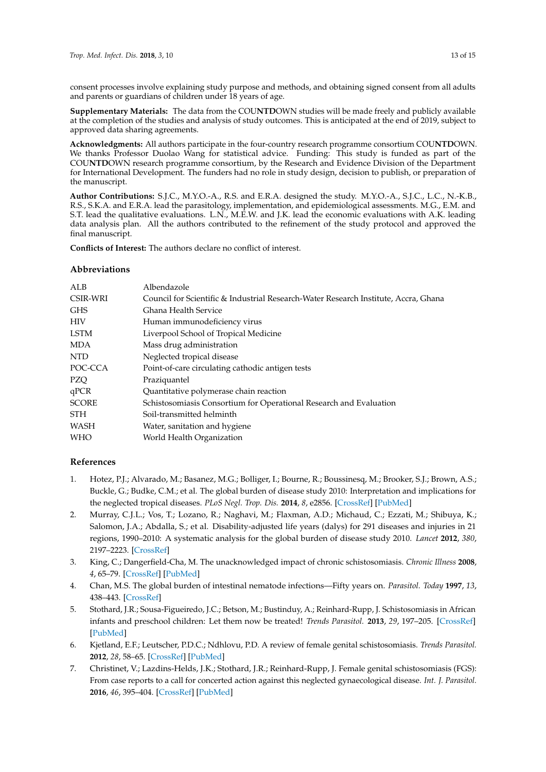consent processes involve explaining study purpose and methods, and obtaining signed consent from all adults and parents or guardians of children under 18 years of age.

**Supplementary Materials:** The data from the COU**NTD**OWN studies will be made freely and publicly available at the completion of the studies and analysis of study outcomes. This is anticipated at the end of 2019, subject to approved data sharing agreements.

**Acknowledgments:** All authors participate in the four-country research programme consortium COU**NTD**OWN. We thanks Professor Duolao Wang for statistical advice. Funding: This study is funded as part of the COU**NTD**OWN research programme consortium, by the Research and Evidence Division of the Department for International Development. The funders had no role in study design, decision to publish, or preparation of the manuscript.

**Author Contributions:** S.J.C., M.Y.O.-A., R.S. and E.R.A. designed the study. M.Y.O.-A., S.J.C., L.C., N.-K.B., R.S., S.K.A. and E.R.A. lead the parasitology, implementation, and epidemiological assessments. M.G., E.M. and S.T. lead the qualitative evaluations. L.N., M.E.W. and J.K. lead the economic evaluations with A.K. leading data analysis plan. All the authors contributed to the refinement of the study protocol and approved the final manuscript.

**Conflicts of Interest:** The authors declare no conflict of interest.

# **Abbreviations**

| ALB          | Albendazole                                                                         |
|--------------|-------------------------------------------------------------------------------------|
| CSIR-WRI     |                                                                                     |
|              | Council for Scientific & Industrial Research-Water Research Institute, Accra, Ghana |
| GHS          | Ghana Health Service                                                                |
| HIV          | Human immunodeficiency virus                                                        |
| LSTM         | Liverpool School of Tropical Medicine                                               |
| MDA          | Mass drug administration                                                            |
| NTD          | Neglected tropical disease                                                          |
| POC-CCA      | Point-of-care circulating cathodic antigen tests                                    |
| PZQ          | Praziquantel                                                                        |
| qPCR         | Quantitative polymerase chain reaction                                              |
| <b>SCORE</b> | Schistosomiasis Consortium for Operational Research and Evaluation                  |
| STH          | Soil-transmitted helminth                                                           |
| WASH         | Water, sanitation and hygiene                                                       |
| WHO          | World Health Organization                                                           |
|              |                                                                                     |

# **References**

- <span id="page-12-0"></span>1. Hotez, P.J.; Alvarado, M.; Basanez, M.G.; Bolliger, I.; Bourne, R.; Boussinesq, M.; Brooker, S.J.; Brown, A.S.; Buckle, G.; Budke, C.M.; et al. The global burden of disease study 2010: Interpretation and implications for the neglected tropical diseases. *PLoS Negl. Trop. Dis.* **2014**, *8*, e2856. [\[CrossRef\]](http://dx.doi.org/10.1371/journal.pntd.0002865) [\[PubMed\]](http://www.ncbi.nlm.nih.gov/pubmed/25058013)
- <span id="page-12-1"></span>2. Murray, C.J.L.; Vos, T.; Lozano, R.; Naghavi, M.; Flaxman, A.D.; Michaud, C.; Ezzati, M.; Shibuya, K.; Salomon, J.A.; Abdalla, S.; et al. Disability-adjusted life years (dalys) for 291 diseases and injuries in 21 regions, 1990–2010: A systematic analysis for the global burden of disease study 2010. *Lancet* **2012**, *380*, 2197–2223. [\[CrossRef\]](http://dx.doi.org/10.1016/S0140-6736(12)61689-4)
- <span id="page-12-2"></span>3. King, C.; Dangerfield-Cha, M. The unacknowledged impact of chronic schistosomiasis. *Chronic Illness* **2008**, *4*, 65–79. [\[CrossRef\]](http://dx.doi.org/10.1177/1742395307084407) [\[PubMed\]](http://www.ncbi.nlm.nih.gov/pubmed/18322031)
- <span id="page-12-3"></span>4. Chan, M.S. The global burden of intestinal nematode infections—Fifty years on. *Parasitol. Today* **1997**, *13*, 438–443. [\[CrossRef\]](http://dx.doi.org/10.1016/S0169-4758(97)01144-7)
- <span id="page-12-4"></span>5. Stothard, J.R.; Sousa-Figueiredo, J.C.; Betson, M.; Bustinduy, A.; Reinhard-Rupp, J. Schistosomiasis in African infants and preschool children: Let them now be treated! *Trends Parasitol.* **2013**, *29*, 197–205. [\[CrossRef\]](http://dx.doi.org/10.1016/j.pt.2013.02.001) [\[PubMed\]](http://www.ncbi.nlm.nih.gov/pubmed/23465781)
- <span id="page-12-5"></span>6. Kjetland, E.F.; Leutscher, P.D.C.; Ndhlovu, P.D. A review of female genital schistosomiasis. *Trends Parasitol.* **2012**, *28*, 58–65. [\[CrossRef\]](http://dx.doi.org/10.1016/j.pt.2011.10.008) [\[PubMed\]](http://www.ncbi.nlm.nih.gov/pubmed/22245065)
- <span id="page-12-6"></span>7. Christinet, V.; Lazdins-Helds, J.K.; Stothard, J.R.; Reinhard-Rupp, J. Female genital schistosomiasis (FGS): From case reports to a call for concerted action against this neglected gynaecological disease. *Int. J. Parasitol.* **2016**, *46*, 395–404. [\[CrossRef\]](http://dx.doi.org/10.1016/j.ijpara.2016.02.006) [\[PubMed\]](http://www.ncbi.nlm.nih.gov/pubmed/27063073)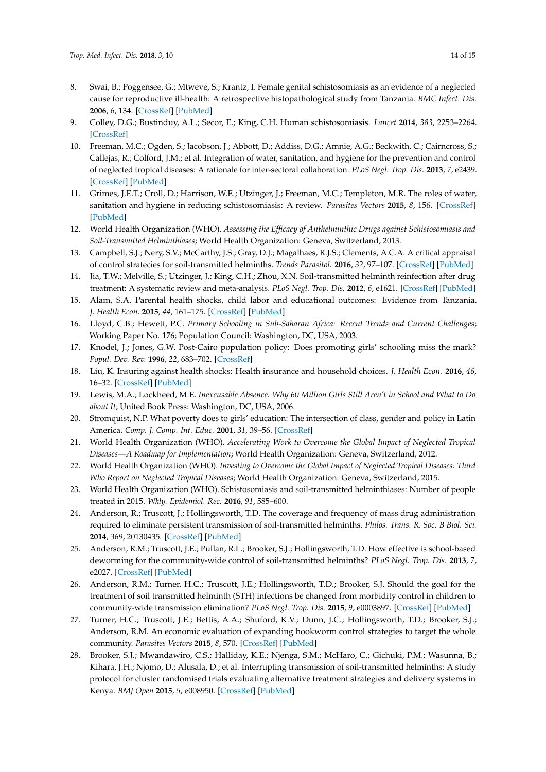- <span id="page-13-0"></span>8. Swai, B.; Poggensee, G.; Mtweve, S.; Krantz, I. Female genital schistosomiasis as an evidence of a neglected cause for reproductive ill-health: A retrospective histopathological study from Tanzania. *BMC Infect. Dis.* **2006**, *6*, 134. [\[CrossRef\]](http://dx.doi.org/10.1186/1471-2334-6-134) [\[PubMed\]](http://www.ncbi.nlm.nih.gov/pubmed/16928276)
- <span id="page-13-1"></span>9. Colley, D.G.; Bustinduy, A.L.; Secor, E.; King, C.H. Human schistosomiasis. *Lancet* **2014**, *383*, 2253–2264. [\[CrossRef\]](http://dx.doi.org/10.1016/S0140-6736(13)61949-2)
- <span id="page-13-2"></span>10. Freeman, M.C.; Ogden, S.; Jacobson, J.; Abbott, D.; Addiss, D.G.; Amnie, A.G.; Beckwith, C.; Cairncross, S.; Callejas, R.; Colford, J.M.; et al. Integration of water, sanitation, and hygiene for the prevention and control of neglected tropical diseases: A rationale for inter-sectoral collaboration. *PLoS Negl. Trop. Dis.* **2013**, *7*, e2439. [\[CrossRef\]](http://dx.doi.org/10.1371/journal.pntd.0002439) [\[PubMed\]](http://www.ncbi.nlm.nih.gov/pubmed/24086781)
- <span id="page-13-3"></span>11. Grimes, J.E.T.; Croll, D.; Harrison, W.E.; Utzinger, J.; Freeman, M.C.; Templeton, M.R. The roles of water, sanitation and hygiene in reducing schistosomiasis: A review. *Parasites Vectors* **2015**, *8*, 156. [\[CrossRef\]](http://dx.doi.org/10.1186/s13071-015-0766-9) [\[PubMed\]](http://www.ncbi.nlm.nih.gov/pubmed/25884172)
- <span id="page-13-4"></span>12. World Health Organization (WHO). *Assessing the Efficacy of Anthelminthic Drugs against Schistosomiasis and Soil-Transmitted Helminthiases*; World Health Organization: Geneva, Switzerland, 2013.
- <span id="page-13-5"></span>13. Campbell, S.J.; Nery, S.V.; McCarthy, J.S.; Gray, D.J.; Magalhaes, R.J.S.; Clements, A.C.A. A critical appraisal of control stratecies for soil-transmitted helminths. *Trends Parasitol.* **2016**, *32*, 97–107. [\[CrossRef\]](http://dx.doi.org/10.1016/j.pt.2015.10.006) [\[PubMed\]](http://www.ncbi.nlm.nih.gov/pubmed/26795294)
- <span id="page-13-6"></span>14. Jia, T.W.; Melville, S.; Utzinger, J.; King, C.H.; Zhou, X.N. Soil-transmitted helminth reinfection after drug treatment: A systematic review and meta-analysis. *PLoS Negl. Trop. Dis.* **2012**, *6*, e1621. [\[CrossRef\]](http://dx.doi.org/10.1371/journal.pntd.0001621) [\[PubMed\]](http://www.ncbi.nlm.nih.gov/pubmed/22590656)
- <span id="page-13-7"></span>15. Alam, S.A. Parental health shocks, child labor and educational outcomes: Evidence from Tanzania. *J. Health Econ.* **2015**, *44*, 161–175. [\[CrossRef\]](http://dx.doi.org/10.1016/j.jhealeco.2015.09.004) [\[PubMed\]](http://www.ncbi.nlm.nih.gov/pubmed/26499960)
- 16. Lloyd, C.B.; Hewett, P.C. *Primary Schooling in Sub-Saharan Africa: Recent Trends and Current Challenges*; Working Paper No. 176; Population Council: Washington, DC, USA, 2003.
- 17. Knodel, J.; Jones, G.W. Post-Cairo population policy: Does promoting girls' schooling miss the mark? *Popul. Dev. Rev.* **1996**, *22*, 683–702. [\[CrossRef\]](http://dx.doi.org/10.2307/2137805)
- 18. Liu, K. Insuring against health shocks: Health insurance and household choices. *J. Health Econ.* **2016**, *46*, 16–32. [\[CrossRef\]](http://dx.doi.org/10.1016/j.jhealeco.2016.01.002) [\[PubMed\]](http://www.ncbi.nlm.nih.gov/pubmed/26836108)
- 19. Lewis, M.A.; Lockheed, M.E. *Inexcusable Absence: Why 60 Million Girls Still Aren't in School and What to Do about It*; United Book Press: Washington, DC, USA, 2006.
- <span id="page-13-8"></span>20. Stromquist, N.P. What poverty does to girls' education: The intersection of class, gender and policy in Latin America. *Comp. J. Comp. Int. Educ.* **2001**, *31*, 39–56. [\[CrossRef\]](http://dx.doi.org/10.1080/03057920020030153)
- <span id="page-13-9"></span>21. World Health Organization (WHO). *Accelerating Work to Overcome the Global Impact of Neglected Tropical Diseases—A Roadmap for Implementation*; World Health Organization: Geneva, Switzerland, 2012.
- <span id="page-13-10"></span>22. World Health Organization (WHO). *Investing to Overcome the Global Impact of Neglected Tropical Diseases: Third Who Report on Neglected Tropical Diseases*; World Health Organization: Geneva, Switzerland, 2015.
- <span id="page-13-11"></span>23. World Health Organization (WHO). Schistosomiasis and soil-transmitted helminthiases: Number of people treated in 2015. *Wkly. Epidemiol. Rec.* **2016**, *91*, 585–600.
- <span id="page-13-12"></span>24. Anderson, R.; Truscott, J.; Hollingsworth, T.D. The coverage and frequency of mass drug administration required to eliminate persistent transmission of soil-transmitted helminths. *Philos. Trans. R. Soc. B Biol. Sci.* **2014**, *369*, 20130435. [\[CrossRef\]](http://dx.doi.org/10.1098/rstb.2013.0435) [\[PubMed\]](http://www.ncbi.nlm.nih.gov/pubmed/24821921)
- 25. Anderson, R.M.; Truscott, J.E.; Pullan, R.L.; Brooker, S.J.; Hollingsworth, T.D. How effective is school-based deworming for the community-wide control of soil-transmitted helminths? *PLoS Negl. Trop. Dis.* **2013**, *7*, e2027. [\[CrossRef\]](http://dx.doi.org/10.1371/journal.pntd.0002027) [\[PubMed\]](http://www.ncbi.nlm.nih.gov/pubmed/23469293)
- 26. Anderson, R.M.; Turner, H.C.; Truscott, J.E.; Hollingsworth, T.D.; Brooker, S.J. Should the goal for the treatment of soil transmitted helminth (STH) infections be changed from morbidity control in children to community-wide transmission elimination? *PLoS Negl. Trop. Dis.* **2015**, *9*, e0003897. [\[CrossRef\]](http://dx.doi.org/10.1371/journal.pntd.0003897) [\[PubMed\]](http://www.ncbi.nlm.nih.gov/pubmed/26291538)
- <span id="page-13-13"></span>27. Turner, H.C.; Truscott, J.E.; Bettis, A.A.; Shuford, K.V.; Dunn, J.C.; Hollingsworth, T.D.; Brooker, S.J.; Anderson, R.M. An economic evaluation of expanding hookworm control strategies to target the whole community. *Parasites Vectors* **2015**, *8*, 570. [\[CrossRef\]](http://dx.doi.org/10.1186/s13071-015-1187-5) [\[PubMed\]](http://www.ncbi.nlm.nih.gov/pubmed/26542226)
- <span id="page-13-14"></span>28. Brooker, S.J.; Mwandawiro, C.S.; Halliday, K.E.; Njenga, S.M.; McHaro, C.; Gichuki, P.M.; Wasunna, B.; Kihara, J.H.; Njomo, D.; Alusala, D.; et al. Interrupting transmission of soil-transmitted helminths: A study protocol for cluster randomised trials evaluating alternative treatment strategies and delivery systems in Kenya. *BMJ Open* **2015**, *5*, e008950. [\[CrossRef\]](http://dx.doi.org/10.1136/bmjopen-2015-008950) [\[PubMed\]](http://www.ncbi.nlm.nih.gov/pubmed/26482774)